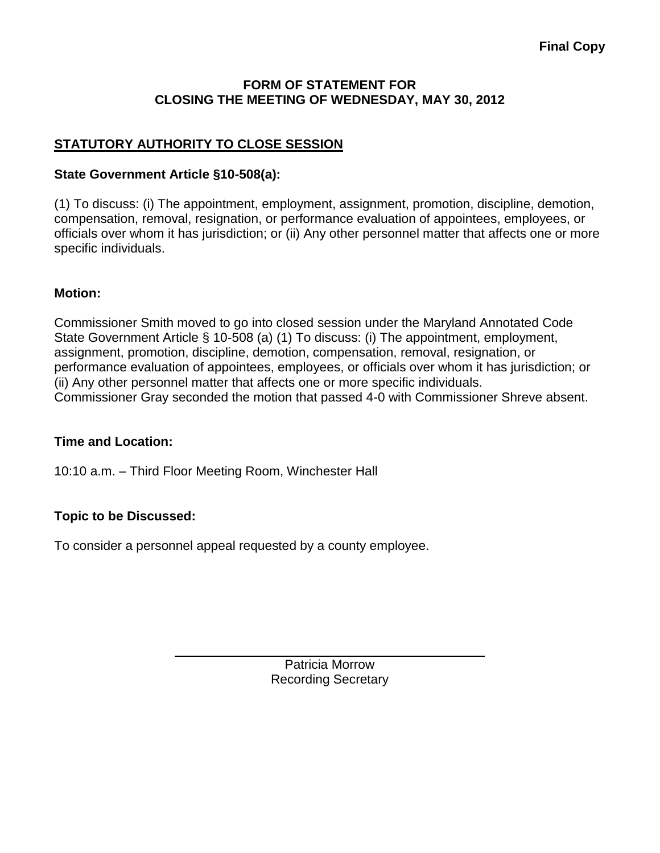#### **FORM OF STATEMENT FOR CLOSING THE MEETING OF WEDNESDAY, MAY 30, 2012**

# **STATUTORY AUTHORITY TO CLOSE SESSION**

### **State Government Article §10-508(a):**

(1) To discuss: (i) The appointment, employment, assignment, promotion, discipline, demotion, compensation, removal, resignation, or performance evaluation of appointees, employees, or officials over whom it has jurisdiction; or (ii) Any other personnel matter that affects one or more specific individuals.

### **Motion:**

Commissioner Smith moved to go into closed session under the Maryland Annotated Code State Government Article § 10-508 (a) (1) To discuss: (i) The appointment, employment, assignment, promotion, discipline, demotion, compensation, removal, resignation, or performance evaluation of appointees, employees, or officials over whom it has jurisdiction; or (ii) Any other personnel matter that affects one or more specific individuals. Commissioner Gray seconded the motion that passed 4-0 with Commissioner Shreve absent.

#### **Time and Location:**

10:10 a.m. – Third Floor Meeting Room, Winchester Hall

## **Topic to be Discussed:**

To consider a personnel appeal requested by a county employee.

Patricia Morrow Recording Secretary